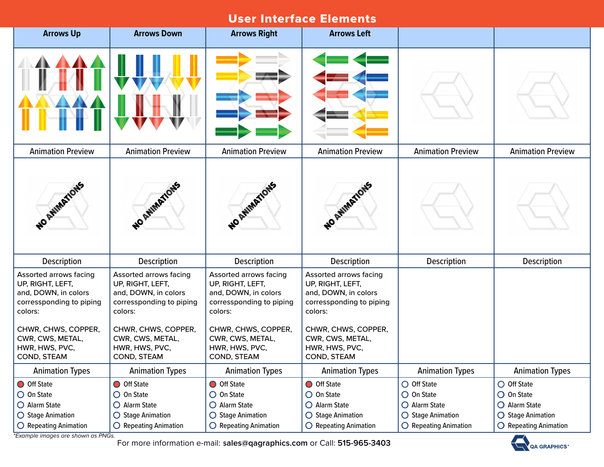| <b>Arrows Up</b>                                                                                                                                                                      | <b>Arrows Down</b>                                                                                                                                                                    | <b>Arrows Right</b>                                                                                                                                                                   | <b>Arrows Left</b>                                                                                                                                                                    |                                                                                                                     |                                                                                                                     |
|---------------------------------------------------------------------------------------------------------------------------------------------------------------------------------------|---------------------------------------------------------------------------------------------------------------------------------------------------------------------------------------|---------------------------------------------------------------------------------------------------------------------------------------------------------------------------------------|---------------------------------------------------------------------------------------------------------------------------------------------------------------------------------------|---------------------------------------------------------------------------------------------------------------------|---------------------------------------------------------------------------------------------------------------------|
|                                                                                                                                                                                       |                                                                                                                                                                                       |                                                                                                                                                                                       |                                                                                                                                                                                       |                                                                                                                     |                                                                                                                     |
| <b>Animation Preview</b>                                                                                                                                                              | <b>Animation Preview</b>                                                                                                                                                              | <b>Animation Preview</b>                                                                                                                                                              | <b>Animation Preview</b>                                                                                                                                                              | <b>Animation Preview</b>                                                                                            | <b>Animation Preview</b>                                                                                            |
| NO AVIMATIONS                                                                                                                                                                         | NO ANYIMATIONS                                                                                                                                                                        | NO ANIMATIONS                                                                                                                                                                         | WO AMIMATIONS                                                                                                                                                                         |                                                                                                                     |                                                                                                                     |
| <b>Description</b>                                                                                                                                                                    | <b>Description</b>                                                                                                                                                                    | <b>Description</b>                                                                                                                                                                    | Description                                                                                                                                                                           | <b>Description</b>                                                                                                  | <b>Description</b>                                                                                                  |
| Assorted arrows facing<br>UP, RIGHT, LEFT,<br>and, DOWN, in colors<br>corressponding to piping<br>colors:<br>CHWR, CHWS, COPPER,<br>CWR, CWS, METAL,<br>HWR, HWS, PVC,<br>COND, STEAM | Assorted arrows facing<br>UP, RIGHT, LEFT,<br>and, DOWN, in colors<br>corressponding to piping<br>colors:<br>CHWR, CHWS, COPPER,<br>CWR, CWS, METAL,<br>HWR, HWS, PVC,<br>COND, STEAM | Assorted arrows facing<br>UP, RIGHT, LEFT,<br>and, DOWN, in colors<br>corressponding to piping<br>colors:<br>CHWR, CHWS, COPPER,<br>CWR, CWS, METAL,<br>HWR, HWS, PVC,<br>COND, STEAM | Assorted arrows facing<br>UP, RIGHT, LEFT,<br>and, DOWN, in colors<br>corressponding to piping<br>colors:<br>CHWR, CHWS, COPPER,<br>CWR, CWS, METAL,<br>HWR, HWS, PVC,<br>COND, STEAM |                                                                                                                     |                                                                                                                     |
| <b>Animation Types</b>                                                                                                                                                                | <b>Animation Types</b>                                                                                                                                                                | <b>Animation Types</b>                                                                                                                                                                | <b>Animation Types</b>                                                                                                                                                                | <b>Animation Types</b>                                                                                              | <b>Animation Types</b>                                                                                              |
| O Off State<br>$\bigcirc$ On State<br>O Alarm State<br>○ Stage Animation<br>$\bigcirc$ Repeating Animation                                                                            | O Off State<br>$\bigcirc$ On State<br>O Alarm State<br>○ Stage Animation<br>$\bigcirc$ Repeating Animation                                                                            | O Off State<br>$\bigcirc$ On State<br>O Alarm State<br><b>Stage Animation</b><br>$\circ$<br><b>Repeating Animation</b>                                                                | O Off State<br>$\bigcirc$ On State<br>O Alarm State<br>○ Stage Animation<br>$\bigcirc$ Repeating Animation                                                                            | $\bigcirc$ Off State<br>$\bigcirc$ On State<br>O Alarm State<br>○ Stage Animation<br>$\bigcirc$ Repeating Animation | $\bigcirc$ Off State<br>$\bigcirc$ On State<br>O Alarm State<br>◯ Stage Animation<br>$\bigcirc$ Repeating Animation |

*\*Example images are shown as PNGs.*

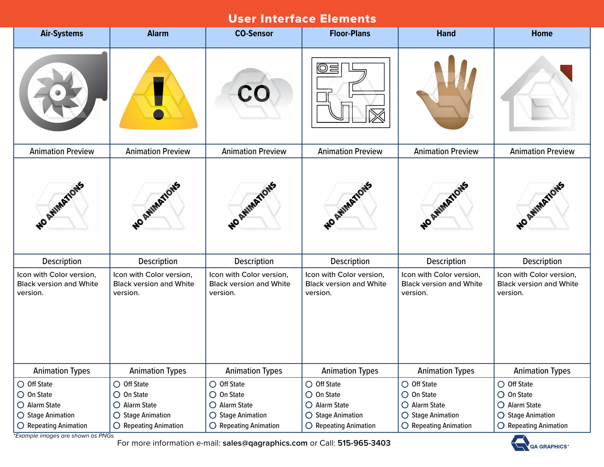| <b>Air-Systems</b>                                                     | <b>Alarm</b>                                                           | <b>CO-Sensor</b>                                                       | <b>Floor-Plans</b>                                                     | <b>Hand</b>                                                            | Home                                                                   |
|------------------------------------------------------------------------|------------------------------------------------------------------------|------------------------------------------------------------------------|------------------------------------------------------------------------|------------------------------------------------------------------------|------------------------------------------------------------------------|
|                                                                        |                                                                        | CO                                                                     | I©<br>巪                                                                |                                                                        |                                                                        |
| <b>Animation Preview</b>                                               | <b>Animation Preview</b>                                               | <b>Animation Preview</b>                                               | <b>Animation Preview</b>                                               | <b>Animation Preview</b>                                               | <b>Animation Preview</b>                                               |
| WO AWMATIONS                                                           | NO AVIMATIONS                                                          | NO AVIMATIONS                                                          | NO ATIMITIONS                                                          | WO AWMATIONS                                                           | NO AVIMATIONS                                                          |
| Description                                                            | Description                                                            | Description                                                            | Description                                                            | Description                                                            | <b>Description</b>                                                     |
| Icon with Color version,<br><b>Black version and White</b><br>version. | Icon with Color version,<br><b>Black version and White</b><br>version. | Icon with Color version,<br><b>Black version and White</b><br>version. | Icon with Color version,<br><b>Black version and White</b><br>version. | Icon with Color version,<br><b>Black version and White</b><br>version. | Icon with Color version,<br><b>Black version and White</b><br>version. |
| <b>Animation Types</b>                                                 | <b>Animation Types</b>                                                 | <b>Animation Types</b>                                                 | <b>Animation Types</b>                                                 | <b>Animation Types</b>                                                 | <b>Animation Types</b>                                                 |
| O Off State<br>$\bigcirc$ On State<br>O Alarm State                    | $\bigcirc$ Off State<br>$\bigcirc$ On State<br>O Alarm State           | $\bigcirc$ Off State<br>$\bigcirc$ On State<br>O Alarm State           | $\bigcirc$ Off State<br>$\bigcirc$ On State<br>O Alarm State           | $\bigcirc$ Off State<br>$\bigcirc$ On State<br>O Alarm State           | $\bigcirc$ Off State<br>$\bigcirc$ On State<br>O Alarm State           |
| ○ Stage Animation<br>$\bigcirc$ Repeating Animation                    | ○ Stage Animation<br>$\bigcirc$ Repeating Animation                    | $\bigcirc$ Stage Animation<br>$\bigcirc$ Repeating Animation           | ○ Stage Animation<br>$\bigcirc$ Repeating Animation                    | ◯ Stage Animation<br>$\bigcirc$ Repeating Animation                    | ◯ Stage Animation<br>$\bigcirc$ Repeating Animation                    |

*\*Example images are shown as PNGs.*

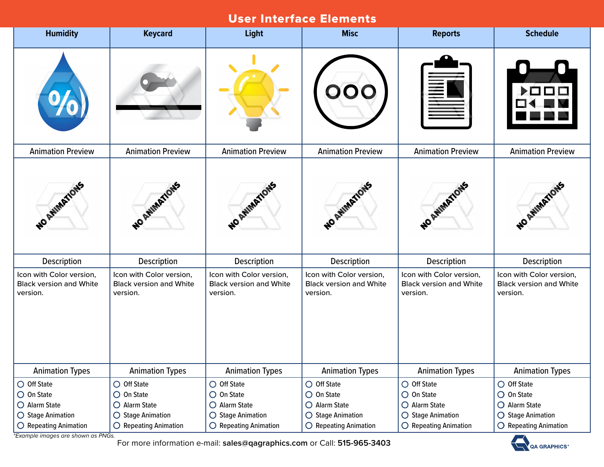| <b>Humidity</b>                                                                   | <b>Keycard</b>                                                                    | <b>Light</b>                                                                      | <b>Misc</b>                                                                | <b>Reports</b>                                                                             | <b>Schedule</b>                                                                            |
|-----------------------------------------------------------------------------------|-----------------------------------------------------------------------------------|-----------------------------------------------------------------------------------|----------------------------------------------------------------------------|--------------------------------------------------------------------------------------------|--------------------------------------------------------------------------------------------|
| $^{9}$ O                                                                          |                                                                                   |                                                                                   |                                                                            | ₹Ī                                                                                         |                                                                                            |
| <b>Animation Preview</b>                                                          | <b>Animation Preview</b>                                                          | <b>Animation Preview</b>                                                          | <b>Animation Preview</b>                                                   | <b>Animation Preview</b>                                                                   | <b>Animation Preview</b>                                                                   |
| WO ANIMATIONS                                                                     | NO AVIMATIONS                                                                     | NO AVIMATIONS                                                                     | NO AVIMATIONS                                                              | NO AWMATIONS                                                                               | NO AVIMATIONS                                                                              |
| <b>Description</b>                                                                | Description                                                                       | Description                                                                       | Description                                                                | Description                                                                                | <b>Description</b>                                                                         |
| Icon with Color version,<br><b>Black version and White</b><br>version.            | Icon with Color version,<br><b>Black version and White</b><br>version.            | Icon with Color version,<br><b>Black version and White</b><br>version.            | Icon with Color version,<br><b>Black version and White</b><br>version.     | Icon with Color version,<br><b>Black version and White</b><br>version.                     | Icon with Color version,<br><b>Black version and White</b><br>version.                     |
| <b>Animation Types</b>                                                            | <b>Animation Types</b>                                                            | <b>Animation Types</b>                                                            | <b>Animation Types</b>                                                     | <b>Animation Types</b>                                                                     | <b>Animation Types</b>                                                                     |
| $\bigcirc$ Off State<br>$\bigcirc$ On State<br>O Alarm State<br>○ Stage Animation | $\bigcirc$ Off State<br>$\bigcirc$ On State<br>O Alarm State<br>○ Stage Animation | $\bigcirc$ Off State<br>$\bigcirc$ On State<br>O Alarm State<br>○ Stage Animation | $\bigcirc$ Off State<br>$O$ On State<br>O Alarm State<br>○ Stage Animation | $\bigcirc$ Off State<br>$\bigcirc$ On State<br>O Alarm State<br>$\bigcirc$ Stage Animation | $\bigcirc$ Off State<br>$\bigcirc$ On State<br>O Alarm State<br>$\bigcirc$ Stage Animation |
| $\bigcirc$ Repeating Animation                                                    | $\bigcirc$ Repeating Animation                                                    | $\bigcirc$ Repeating Animation                                                    | $\bigcirc$ Repeating Animation                                             | $\bigcirc$ Repeating Animation                                                             | $\bigcirc$ Repeating Animation                                                             |

*\*Example images are shown as PNGs.*

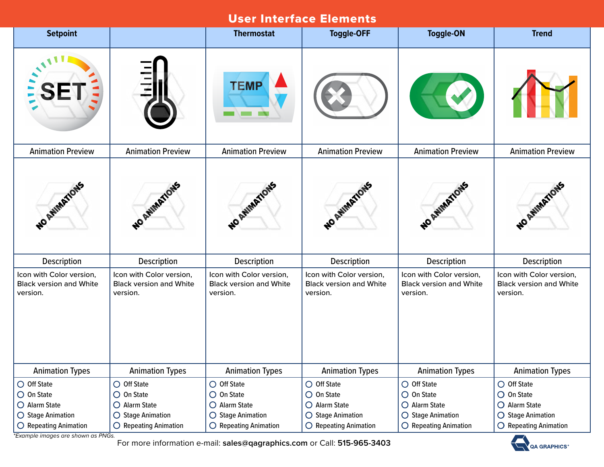| <b>Setpoint</b>                                                        |                                                                        | <b>Thermostat</b>                                                      | <b>Toggle-OFF</b>                                                      | <b>Toggle-ON</b>                                                       | <b>Trend</b>                                                                               |
|------------------------------------------------------------------------|------------------------------------------------------------------------|------------------------------------------------------------------------|------------------------------------------------------------------------|------------------------------------------------------------------------|--------------------------------------------------------------------------------------------|
|                                                                        |                                                                        | <b>TEMP</b>                                                            |                                                                        |                                                                        |                                                                                            |
| <b>Animation Preview</b>                                               | <b>Animation Preview</b>                                               | <b>Animation Preview</b>                                               | <b>Animation Preview</b>                                               | <b>Animation Preview</b>                                               | <b>Animation Preview</b>                                                                   |
| NO ATHIMATIONS                                                         | NO ANIMATIONS                                                          | NO ANIMATIONS                                                          | NO AVIMATIONS                                                          | NO AVIMATION                                                           | NO AVIMATIONS                                                                              |
| Description                                                            | Description                                                            | Description                                                            | Description                                                            | Description                                                            | Description                                                                                |
| Icon with Color version,<br><b>Black version and White</b><br>version. | Icon with Color version,<br><b>Black version and White</b><br>version. | Icon with Color version,<br><b>Black version and White</b><br>version. | Icon with Color version,<br><b>Black version and White</b><br>version. | Icon with Color version,<br><b>Black version and White</b><br>version. | Icon with Color version,<br><b>Black version and White</b><br>version.                     |
| <b>Animation Types</b>                                                 | <b>Animation Types</b>                                                 | <b>Animation Types</b>                                                 | <b>Animation Types</b>                                                 | <b>Animation Types</b>                                                 | <b>Animation Types</b>                                                                     |
| O Off State<br>$\bigcirc$ On State<br>O Alarm State                    | $\bigcirc$ Off State<br>$\bigcirc$ On State<br>O Alarm State           | $\bigcirc$ Off State<br>$\bigcirc$ On State<br>O Alarm State           | $\bigcirc$ Off State<br>$\bigcirc$ On State<br>O Alarm State           | $\bigcirc$ Off State<br>$\bigcirc$ On State<br>O Alarm State           | $\bigcirc$ Off State<br>$\bigcirc$ On State<br>O Alarm State<br>$\bigcirc$ Stage Animation |
| $\bigcirc$ Stage Animation<br>$\bigcirc$ Repeating Animation           | $\bigcirc$ Stage Animation<br>$\bigcirc$ Repeating Animation           | $\bigcirc$ Stage Animation<br>$\bigcirc$ Repeating Animation           | $\bigcirc$ Stage Animation<br>$\bigcirc$ Repeating Animation           | ○ Stage Animation<br>$\bigcirc$ Repeating Animation                    | $\bigcirc$ Repeating Animation                                                             |

*\*Example images are shown as PNGs.*